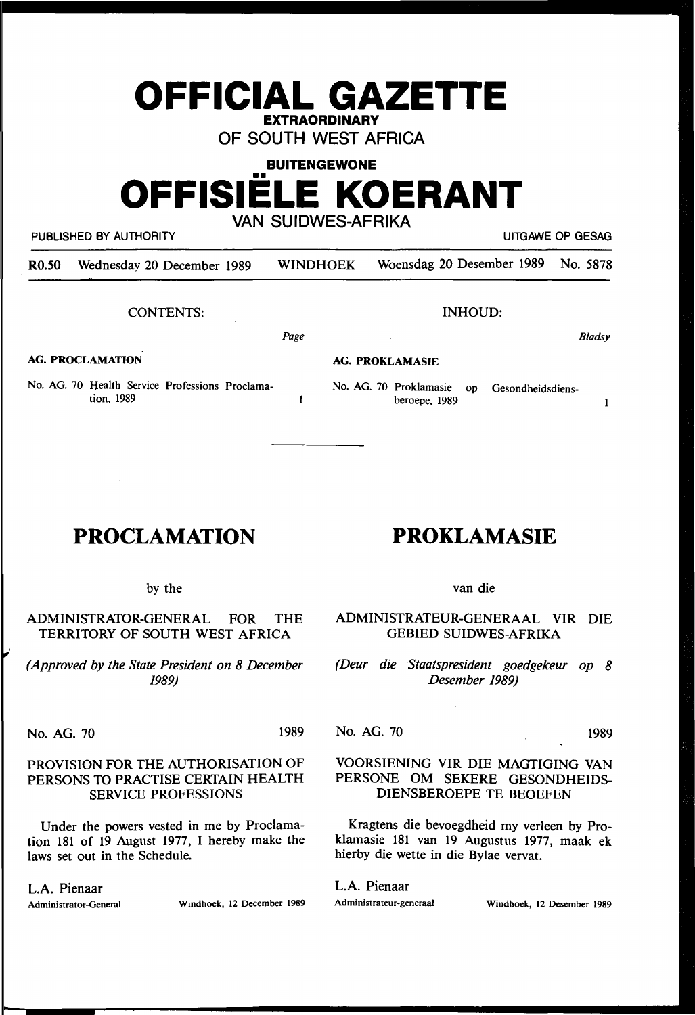# **OFFICIAL GAZETTE EXTRAORDINARY**

**OF SOUTH WEST AFRICA** 

**BUITENGEWONE**  •• **OFFISIELE KOERANT VAN SUIDWES-AFRIKA** 

PUBLISHED BY AUTHORITY **EXECUTE A SECURE 2018 THE SECULAR SECURE 2019** UITGAWE OP GESAG

R0.50 Wednesday 20 December 1989 WINDHOEK Woensdag 20 Desember 1989 No. 5878

*Page* 

CONTENTS:

INHOUD:

No. AG. 70 Proklamasie op Gesondheidsdiens-

beroepe, 1989

*Bladsy* 

 $\mathbf{1}$ 

**AG. PROCLAMATION** 

**AG. PROKLAMASIE** 

No. AG. 70 Health Service Professions Proclamation, 1989  $\mathbf{1}$ 

# **PROCLAMATION**

# **PROKLAMASIE**

by the

ADMINISTRATOR-GENERAL FOR THE TERRITORY OF SOUTH WEST AFRICA

*(Approved by the State President on 8 December 1989)* 

No. AG. 70 1989

# PROVISION FOR THE AUTHORISATION OF PERSONS TO PRACTISE CERTAIN HEALTH SERVICE PROFESSIONS

Under the powers vested in me by Proclamation 181 of 19 August 1977, I hereby make the laws set out in the Schedule.

L.A. Pienaar

Administrator-General Windhoek, 12 December 1989

van die

ADMINISTRATEUR-GENERAAL VIR DIE GEBIED SUIDWES-AFRIKA

*(Deur die Staatspresident goedgekeur op 8 Desember 1989)* 

No. AG. 70 1989

# VOORSIENING VIR DIE MAGTIGING VAN PERSONE OM SEKERE GESONDHEIDS-DIENSBEROEPE TE BEOEFEN

Kragtens die bevoegdheid my verleen by Proklamasie 181 van 19 Augustus 1977, maak ek hierby die wette in die Bylae vervat.

L.A. Pienaar

Administrateur-generaal Windhoek, 12 Desember 1989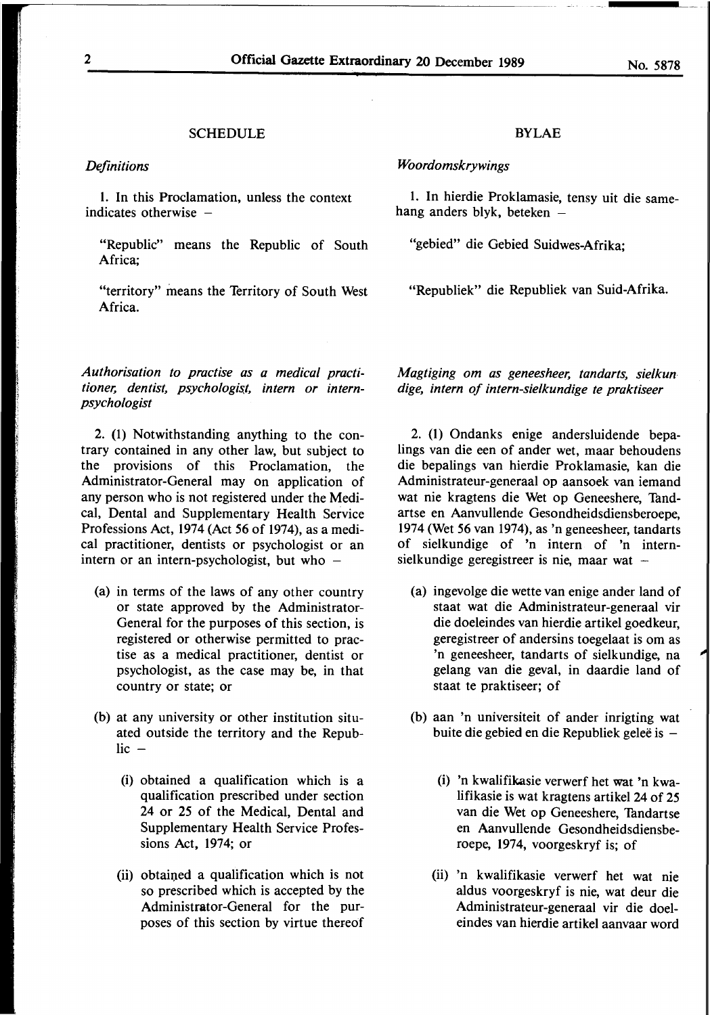### SCHEDULE

#### *Definitions*

1. In this Proclamation, unless the context indicates otherwise  $-$ 

"Republic" means the Republic of South Africa;

"territory" means the Territory of South West Africa.

*Authorisation to practise as a medical practi*tioner, dentist, psychologist, intern or intern*psychologist* 

2. (1) Notwithstanding anything to the contrary contained in any other law, but subject to the provisions of this Proclamation, the Administrator-General may on application of any person who is not registered under the Medical, Dental and Supplementary Health Service Professions Act, 1974 (Act *56* of 1974), as a medical practitioner, dentists or psychologist or an intern or an intern-psychologist, but who  $-$ 

- (a) in terms of the laws of any other country or state approved by the Administrator-General for the purposes of this section, is registered or otherwise permitted to practise as a medical practitioner, dentist or psychologist, as the case may be, in that country or state; or
- (b) at any university or other institution situated outside the territory and the Repub $lie -$ 
	- (i) obtained a qualification which is a qualification prescribed under section 24 or *25* of the Medical, Dental and Supplementary Health Service Professions Act, 1974; or
	- (ii) obtained a qualification which is not so prescribed which is accepted by the Administrator-General for the purposes of this section by virtue thereof

*Magtiging om as geneesheer, tandarts, sielkun dige, intern of intern-sielkundige te praktiseer* 

2. (1) Ondanks enige andersluidende bepalings van die een of ander wet, maar behoudens die bepalings van hierdie Proklamasie, kan die Administrateur-generaal op aansoek van iemand wat nie kragtens die Wet op Geneeshere, Tandartse en Aanvullende Gesondheidsdiensberoepe, 1974 (Wet *56* van 1974), as 'n geneesheer, tandarts of sielkundige of 'n intern of 'n internsielkundige geregistreer is nie, maar wat -

- (a) ingevolge die wette van enige ander land of staat wat die Administrateur-generaal vir die doeleindes van hierdie artikel goedkeur, geregistreer of andersins toegelaat is om as 'n geneesheer, tandarts of sielkundige, na gelang van die geval, in daardie land of staat te praktiseer; of
- (b) aan 'n universiteit of ander inrigting wat buite die gebied en die Republiek geleë is  $-$ 
	- (i) 'n kwalifikasie verwerf het wat 'n kwalifikasie is wat kragtens artikel 24 of 25 van die Wet op Geneeshere, Tandartse en Aanvullende Gesondheidsdiensberoepe, 1974, voorgeskryf is; of
	- (ii) 'n kwalifikasie verwerf het wat nie aldus voorgeskryf is nie, wat deur die Administrateur-generaal vir die doeleindes van hierdie artikel aanvaar word

#### BYLAE

*Woordomskrywings* 

1. In hierdie Proklamasie, tensy uit die samehang anders blyk, beteken  $-$ 

"gebied" die Gebied Suidwes-Afrika;

"Republiek" die Republiek van Suid-Afrika.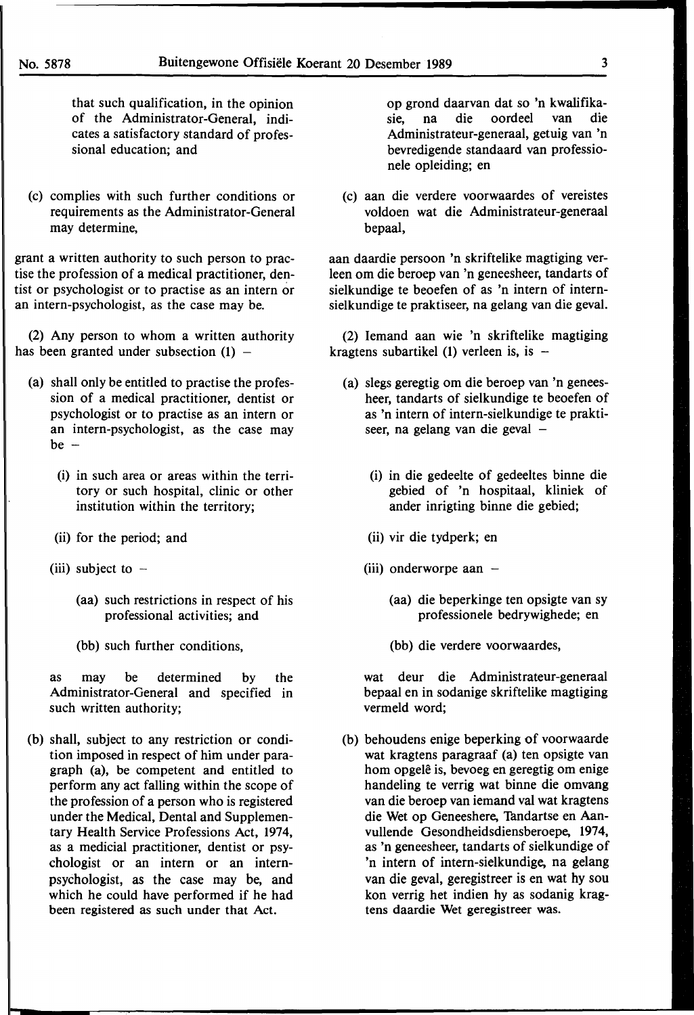that such qualification, in the opinion of the Administrator-General, indicates a satisfactory standard of professional education; and

(c) complies with such further conditions or requirements as the Administrator-General may determine,

grant a written authority to such person to practise the profession of a medical practitioner, dentist or psychologist or to practise as an intern or an intern-psychologist, as the case may be.

(2) Any person to whom a written authority has been granted under subsection  $(1)$  –

- (a) shall only be entitled to practise the profession of a medical practitioner, dentist or psychologist or to practise as an intern or an intern-psychologist, as the case may  $be -$ 
	- (i) in such area or areas within the territory or such hospital, clinic or other institution within the territory;
	- (ii) for the period; and
	- (iii) subject to  $-$ 
		- (aa) such restrictions in respect of his professional activities; and
		- (bb) such further conditions,

as may be determined by the Administrator-General and specified in such written authority;

(b) shall, subject to any restriction or condition imposed in respect of him under paragraph (a), be competent and entitled to perform any act falling within the scope of the profession of a person who is registered under the Medical, Dental and Supplementary Health Service Professions Act, 1974, as a medicial practitioner, dentist or psychologist or an intern or an internpsychologist, as the case may be, and which he could have performed if he had been registered as such under that Act.

op grond daarvan dat so 'n kwalifikasie, na die oordeel van die Administrateur-generaal, getuig van 'n bevredigende standaard van professionele opleiding; en

(c) aan die verdere voorwaardes of vereistes voldoen wat die Administrateur-generaal bepaal,

aan daardie persoon 'n skriftelike magtiging verleen om die beroep van 'n geneesheer, tandarts of sielkundige te beoefen of as 'n intern of internsielkundige te praktiseer, na gelang van die geval.

(2) lemand aan wie 'n skriftelike magtiging kragtens subartikel (1) verleen is, is  $-$ 

- (a) slegs geregtig om die beroep van 'n geneesheer, tandarts of sielkundige te beoefen of as 'n intern of intern-sielkundige te praktiseer, na gelang van die geval  $-$ 
	- (i) in die gedeelte of gedeeltes binne die gebied of 'n hospitaal, kliniek of ander inrigting binne die gebied;
	- (ii) vir die tydperk; en
	- (iii) onderworpe aan  $-$ 
		- (aa) die beperkinge ten opsigte van sy professionele bedrywighede; en
		- (bb) die verdere voorwaardes,

wat deur die Administrateur-generaal bepaal en in sodanige skriftelike magtiging vermeld word;

(b) behoudens enige beperking of voorwaarde wat kragtens paragraaf (a) ten opsigte van horn opgele is, bevoeg en geregtig om enige handeling te verrig wat binne die omvang van die beroep van iemand val wat kragtens die Wet op Geneeshere, Tandartse en Aanvullende Gesondheidsdiensberoepe, 1974, as 'n geneesheer, tandarts of sielkundige of 'n intern of intern-sielkundige, na gelang van die geval, geregistreer is en wat by sou kon verrig het indien hy as sodanig kragtens daardie Wet geregistreer was.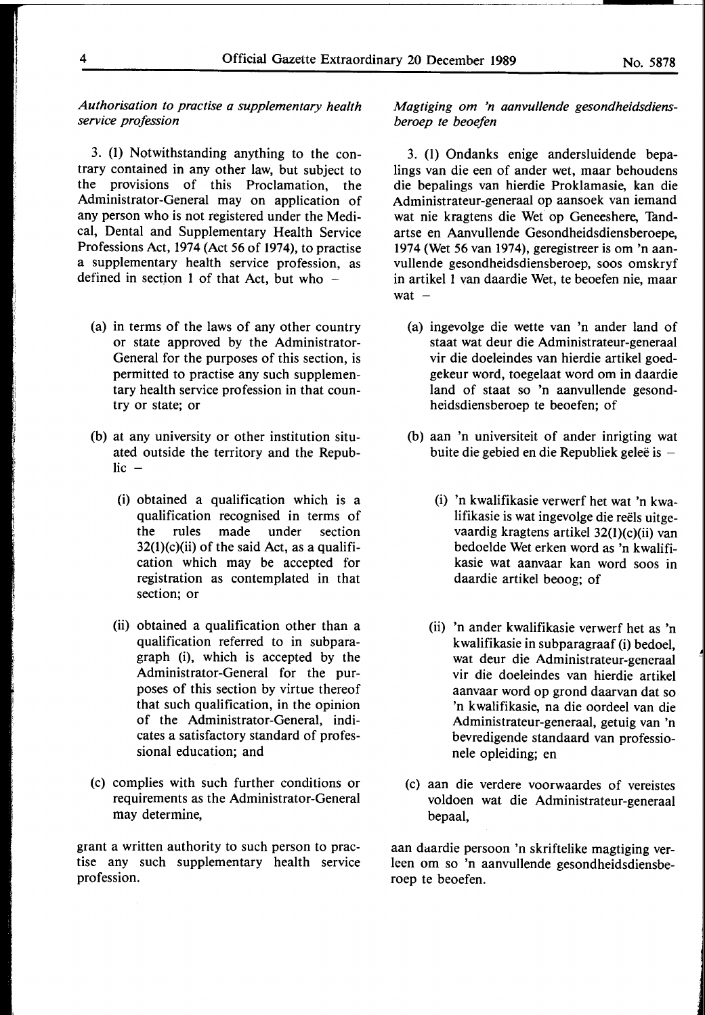*Authorisation to practise a supplementary health service profession* 

3. (1) Notwithstanding anything to the contrary contained in any other law, but subject to the provisions of this Proclamation, the Administrator-General may on application of any person who is not registered under the Medical, Dental and Supplementary Health Service Professions Act, 1974 (Act 56 of 1974), to practise a supplementary health service profession, as defined in section 1 of that Act, but who  $-$ 

- (a) in terms of the laws of any other country or state approved by the Administrator-General for the purposes of this section, is permitted to practise any such supplementary health service profession in that country or state; or
- (b) at any university or other institution situated outside the territory and the Repub- $\text{lic}$  -
	- (i) obtained a qualification which is a qualification recognised in terms of the rules made under section  $32(1)(c)(ii)$  of the said Act, as a qualification which may be accepted for registration as contemplated in that section; or
	- (ii) obtained a qualification other than a qualification referred to in subparagraph (i), which is accepted by the Administrator-General for the purposes of this section by virtue thereof that such qualification, in the opinion of the Administrator-General, indicates a satisfactory standard of professional education; and
- (c) complies with such further conditions or requirements as the Administrator-General may determine,

grant a written authority to such person to practise any such supplementary health service profession.

*Magtiging om 'n aanvullende gesondheidsdiensberoep te beoefen* 

3. (1) Ondanks enige andersluidende bepalings van die een of ander wet, maar behoudens die bepalings van hierdie Proklamasie, kan die Administrateur-generaal op aansoek van iemand wat nie kragtens die Wet op Geneeshere, Tandartse en Aanvullende Gesondheidsdiensberoepe, 1974 (Wet 56 van 1974), geregistreer is om 'n aanvullende gesondheidsdiensberoep, soos omskryf in artikel 1 van daardie Wet, te beoefen nie, maar wat  $-$ 

- (a) ingevolge die wette van 'n ander land of staat wat deur die Administrateur-generaal vir die doeleindes van hierdie artikel goedgekeur word, toegelaat word om in daardie land of staat so 'n aanvullende gesondheidsdiensberoep te beoefen; of
- (b) aan 'n universiteit of ander inrigting wat buite die gebied en die Republiek geleë is  $-$ 
	- (i) 'n kwalifikasie verwerf bet wat 'n kwalifikasie is wat ingevolge die reëls uitgevaardig kragtens artikel 32(l)(c)(ii) van bedoelde Wet erken word as 'n kwalifikasie wat aanvaar kan word soos in daardie artikel beoog; of
	- (ii) 'n ander kwalifikasie verwerf bet as 'n kwalifikasie in subparagraaf (i) bedoel, wat deur die Administrateur-generaal vir die doeleindes van hierdie artikel aanvaar word op grond daarvan dat so 'n kwalifikasie, na die oordeel van die Administrateur-generaal, getuig van 'n bevredigende standaard van professionele opleiding; en
- (c) aan die verdere voorwaardes of vereistes voldoen wat die Administrateur-generaal bepaal,

aan daardie persoon 'n skriftelike magtiging verleen om so 'n aanvullende gesondheidsdiensberoep te beoefen.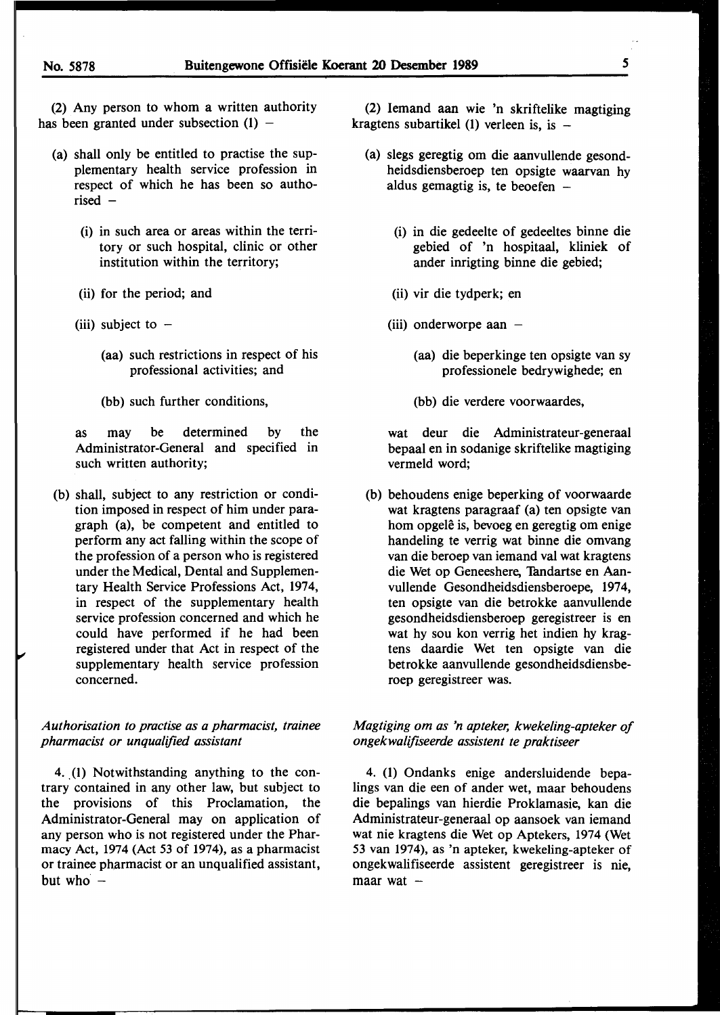(2) Any person to whom a written authority has been granted under subsection  $(1)$  -

- (a) shall only be entitled to practise the supplementary health service profession in respect of which he has been so autho $rised -$ 
	- (i) in such area or areas within the territory or such hospital, clinic or other institution within the territory;
	- (ii) for the period; and
	- (iii) subject to  $-$ 
		- **(aa)** such restrictions in respect of his professional activities; and

(bb) such further conditions,

as may be determined by the Administrator-General and specified in such written authority;

(b) shall, subject to any restriction or condition imposed in respect of him under paragraph (a), be competent and entitled to perform any act falling within the scope of the profession of a person who is registered under the Medical, Dental and Supplementary Health Service Professions Act, 1974, in respect of the supplementary health service profession concerned and which he could have performed if he had been registered under that Act in respect of the supplementary health service profession concerned.

*Authorisation to practise as a pharmacist, trainee pharmacist or unqualified assistant* 

4. (1) Notwithstanding anything to the contrary contained in any other law, but subject to the provisions of this Proclamation, the Administrator-General may on application of any person who is not registered under the Pharmacy Act, 1974 (Act 53 of 1974), as a pharmacist or trainee pharmacist or an unqualified assistant, but who  $-$ 

(2) Iemand aan wie 'n skriftelike magtiging kragtens subartikel (1) verleen is, is  $-$ 

- (a) slegs geregtig om die aanvullende gesondheidsdiensberoep ten opsigte waarvan hy aldus gemagtig is, te beoefen  $-$ 
	- (i) in die gedeelte of gedeeltes binne die gebied of 'n hospitaal, kliniek of ander inrigting binne die gebied;
	- (ii) vir die tydperk; en
	- (iii) onderworpe aan  $-$ 
		- (aa) die beperkinge ten opsigte van sy professionele bedrywighede; en
		- (bb) die verdere voorwaardes,

wat deur die Administrateur-generaal bepaal en in sodanige skriftelike magtiging vermeld word;

(b) behoudens enige beperking of voorwaarde wat kragtens paragraaf (a) ten opsigte van hom opgelê is, bevoeg en geregtig om enige handeling te verrig wat binne die omvang van die beroep van iemand val wat kragtens die Wet op Geneeshere, Tandartse en Aanvullende Gesondheidsdiensberoepe, 1974, ten opsigte van die betrokke aanvullende gesondheidsdiensberoep geregistreer is en wat hy sou kon verrig het indien hy kragtens daardie Wet ten opsigte van die betrokke aanvullende gesondheidsdiensberoep geregistreer was.

## *Magtiging om as 'n apteker, kweke/ing-apteker of ongekwalifiseerde assistent te praktiseer*

4. (1) Ondanks enige andersluidende bepalings van die een of ander wet, maar behoudens die bepalings van hierdie Proklamasie, kan die Administrateur-generaal op aansoek van iemand wat nie kragtens die Wet op Aptekers, 1974 (Wet 53 van 1974), as 'n apteker, kwekeling-apteker of ongekwalifiseerde assistent geregistreer is nie, maar wat  $-$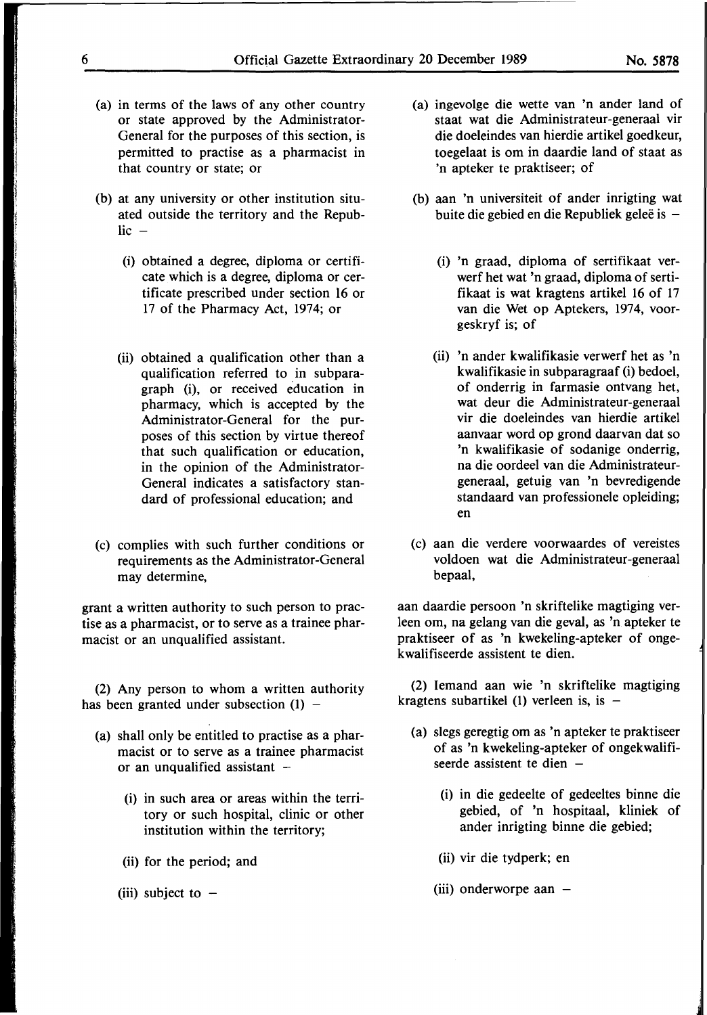- {a) in terms of the laws of any other country or state approved by the Administrator-General for the purposes of this section, is permitted to practise as a pharmacist in that country or state; or
- {b) at any university or other institution situated outside the territory and the Repub- $\text{lic}$   $-$ 
	- (i) obtained a degree, diploma or certificate which is a degree, diploma or certificate prescribed under section 16 or 17 of the Pharmacy Act, 1974; or
	- (ii) obtained a qualification other than a qualification referred to in subparagraph (i), or received education in pharmacy, which is accepted by the Administrator-General for the purposes of this section by virtue thereof that such qualification or education, in the opinion of the Administrator-General indicates a satisfactory standard of professional education; and
- (c) complies with such further conditions or requirements as the Administrator-General may determine,

grant a written authority to such person to practise as a pharmacist, or to serve as a trainee pharmacist or an unqualified assistant.

(2) Any person to whom a written authority has been granted under subsection (1) –

- (a) shall only be entitled to practise as a pharmacist or to serve as a trainee pharmacist or an unqualified assistant  $-$ 
	- (i) in such area or areas within the territory or such hospital, clinic or other institution within the territory;
	- (ii) for the period; and
	- (iii) subject to  $-$
- (a) ingevolge die wette van 'n ander land of staat wat die Administrateur-generaal vir die doeleindes van hierdie artikel goedkeur, toegelaat is om in daardie land of staat as 'n apteker te praktiseer; of
- (b) aan 'n universiteit of ander inrigting wat buite die gebied en die Republiek geleë is  $-$ 
	- (i) 'n graad, diploma of sertifikaat verwerf het wat 'n graad, diploma of sertifikaat is wat kragtens artikel 16 of 17 van die Wet op Aptekers, 1974, voorgeskryf is; of
	- (ii) 'n ander kwalifikasie verwerf het as 'n kwalifikasie in subparagraaf (i) bedoel, of onderrig in farmasie ontvang het, wat deur die Administrateur-generaal vir die doeleindes van hierdie artikel aanvaar word op grond daarvan dat so 'n kwalifikasie of sodanige onderrig, na die oordeel van die Administrateurgeneraal, getuig van 'n bevredigende standaard van professionele opleiding; en
- ( c) aan die verdere voorwaardes of vereistes voldoen wat die Administrateur-generaal bepaal,

aan daardie persoon 'n skriftelike magtiging verleen om, na gelang van die geval, as 'n apteker te praktiseer of as 'n kwekeling-apteker of ongekwalifiseerde assistent te dien.

(2) Iemand aan wie 'n skriftelike magtiging kragtens subartikel (1) verleen is, is  $-$ 

- (a) slegs geregtig om as 'n apteker te praktiseer of as 'n kwekeling-apteker of ongekwalifiseerde assistent te dien  $-$ 
	- (i) in die gedeelte of gedeeltes binne die gebied, of 'n hospitaal, kliniek of ander inrigting binne die gebied;
	- (ii) vir die tydperk; en
	- (iii) onderworpe aan  $-$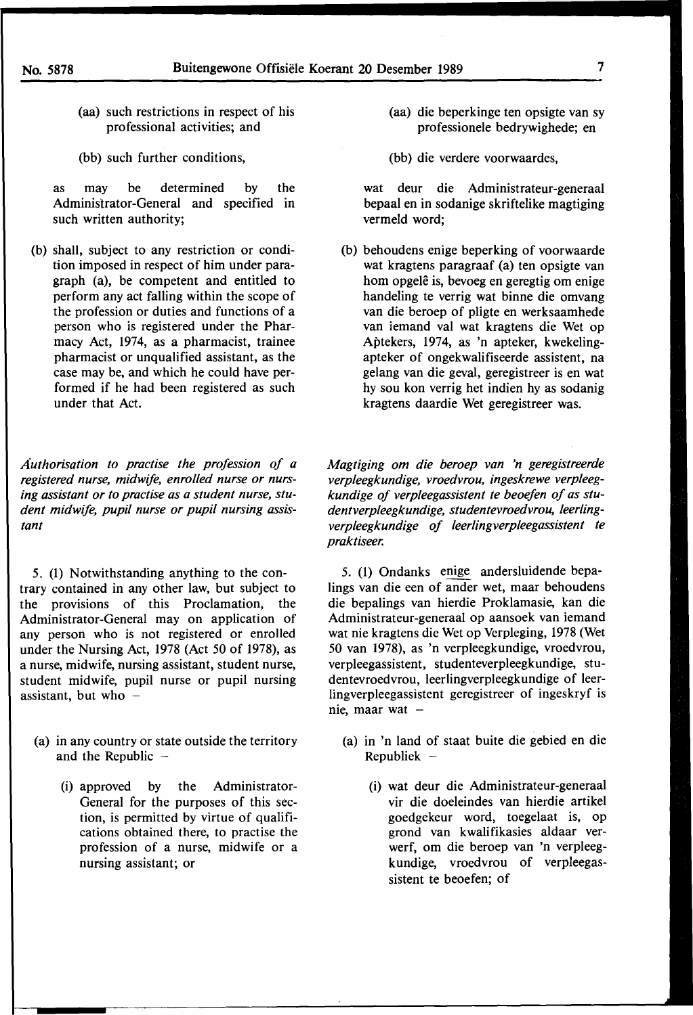- (aa) such restrictions in respect of his professional activities; and
- (bb) such further conditions,

as may be determined by the Administrator-General and specified in such written authority;

(b) shall, subject to any restriction or condition imposed in respect of him under paragraph (a), be competent and entitled to perform any act falling within the scope of the profession or duties and functions of a person who is registered under the Pharmacy Act, 1974, as a pharmacist, trainee pharmacist or unqualified assistant, as the case may be, and which he could have performed if he had been registered as such under that Act.

*Authorisation to practise the profession of a registered nurse, midwife, enrolled nurse or nursing assistant or to practise as a student nurse, student midwife, pupil nurse or pupil nursing assistant* 

5. (1) Notwithstanding anything to the contrary contained in any other law, but subject to the provisions of this Proclamation, the Administrator-General may on application of any person who is not registered or enrolled under the Nursing Act, 1978 (Act 50 of 1978), as a nurse, midwife, nursing assistant, student nurse, student midwife, pupil nurse or pupil nursing assistant, but who  $-$ 

- (a) in any country or state outside the territory and the Republic  $-$ 
	- (i) approved by the Administrator-General for the purposes of this section, is permitted by virtue of qualifications obtained there, to practise the profession of a nurse, midwife or a nursing assistant; or
- (aa) die beperkinge ten opsigte van sy professionele bedrywighede; en
- (bb) die verdere voorwaardes,

wat deur die Administrateur-generaal bepaal en in sodanige skriftelike magtiging vermeld word;

(b) behoudens enige beperking of voorwaarde wat kragtens paragraaf (a) ten opsigte van hom opgelê is, bevoeg en geregtig om enige handeling te verrig wat binne die omvang van die beroep of pligte en werksaamhede van iemand val wat kragtens die Wet op Aptekers, 1974, as 'n apteker, kwekelingapteker of ongekwalifiseerde assistent, na gelang van die geval, geregistreer is en wat hy sou kon verrig het indien hy as sodanig kragtens daardie Wet geregistreer was.

*Magtiging om die beroep van 'n geregistreerde verpleegkundige, vroedvrou, ingeskrewe verpleegkundige of verpleegassistent te beoefen of as stu*dentverpleegkundige, studentevroedvrou, leerling*verpleegkundige of leerlingverpleegassistent te praktiseer.* 

5. (1) Ondanks enige andersluidende bepalings van die een of ander wet, maar behoudens die bepalings van hierdie Proklamasie, kan die Administrateur-generaal op aansoek van iemand wat nie kragtens die Wet op Verpleging, 1978 (Wet 50 van 1978), as 'n verpleegkundige, vroedvrou, verpleegassistent, studenteverpleegkundige, studentevroedvrou, leerlingverpleegkundige of leerlingverpleegassistent geregistreer of ingeskryf is nie, maar wat -

- (a) in 'n land of staat buite die gebied en die Republiek  $-$ 
	- (i) wat deur die Administrateur-generaal vir die doeleindes van hierdie artikel goedgekeur word, toegelaat is, op grond van kwalifikasies aldaar verwerf, om die beroep van 'n verpleegkundige, vroedvrou of verpleegassistent te beoefen; of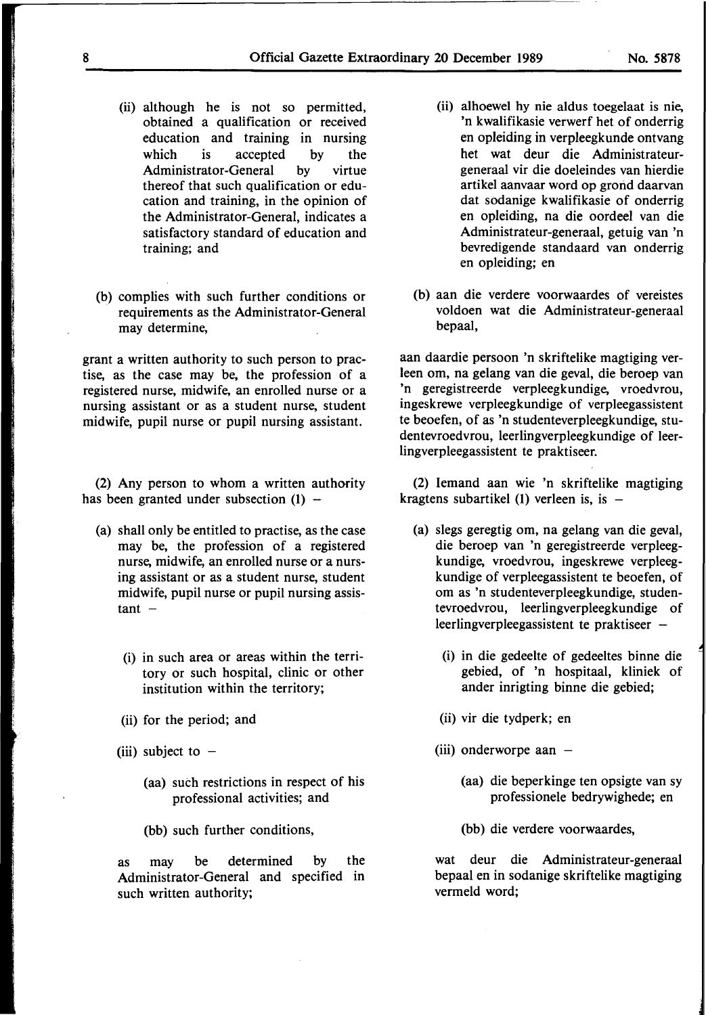- (ii) although he is not so permitted, obtained a qualification or received education and training in nursing which is accepted by the Administrator-General by virtue thereof that such qualification or education and training, in the opinion of the Administrator-General, indicates a satisfactory standard of education and training; and
- (b) complies with such further conditions or requirements as the Administrator-General may determine,

grant a written authority to such person to practise, as the case may be, the profession of a registered nurse, midwife, an enrolled nurse or a nursing assistant or as a student nurse, student midwife, pupil nurse or pupil nursing assistant.

(2) Any person to whom a written authority has been granted under subsection  $(1)$  -

- (a) shall only be entitled to practise, as the case may be, the profession of a registered nurse, midwife, an enrolled nurse or a nursing assistant or as a student nurse, student midwife, pupil nurse or pupil nursing assis $tant -$ 
	- (i) in such area or areas within the territory or such hospital, clinic or other institution within the territory;
	- (ii) for the period; and
	- (iii) subject to  $-$ 
		- (aa) such restrictions in respect of his professional activities; and

(bb) such further conditions,

as may be determined by the Administrator-General and specified in such written authority;

- (ii) alhoewel hy nie aldus toegelaat is nie, 'n kwalifikasie verwerf het of onderrig en opleiding in verpleegkunde ontvang het wat deur die Administrateurgeneraal vir die doeleindes van hierdie artikel aanvaar word op grond daarvan dat sodanige kwalifikasie of onderrig en opleiding, na die oordeel van die Administrateur-generaal, getuig van 'n bevredigende standaard van onderrig en opleiding; en
- (b) aan die verdere voorwaardes of vereistes voldoen wat die Administrateur-generaal bepaal,

aan daardie persoon 'n skriftelike magtiging verleen om, na gelang van die geval, die beroep van 'n geregistreerde verpleegkundige, vroedvrou, ingeskrewe verpleegkundige of verpleegassistent te beoefen, of as 'n studenteverpleegkundige, studentevroedvrou, leerlingverpleegkundige of leerlingverpleegassistent te praktiseer.

(2) lemand aan wie 'n skriftelike magtiging kragtens subartikel (1) verleen is, is  $-$ 

- (a) slegs geregtig om, na gelang van die geval, die beroep van 'n geregistreerde verpleegkundige, vroedvrou, ingeskrewe verpleegkundige of verpleegassistent te beoefen, of om as 'n studenteverpleegkundige, studentevroedvrou, leerlingverpleegkundige of leerlingverpleegassistent te praktiseer -
	- (i) in die gedeelte of gedeeltes binne die gebied, of 'n hospitaal, kliniek of ander inrigting binne die gebied;
	- (ii) vir die tydperk; en
	- (iii) onderworpe aan  $-$ 
		- (aa) die beperkinge ten opsigte van sy professionele bedrywighede; en
		- (bb) die verdere voorwaardes,

wat deur die Administrateur-generaal bepaal en in sodanige skriftelike magtiging vermeld word;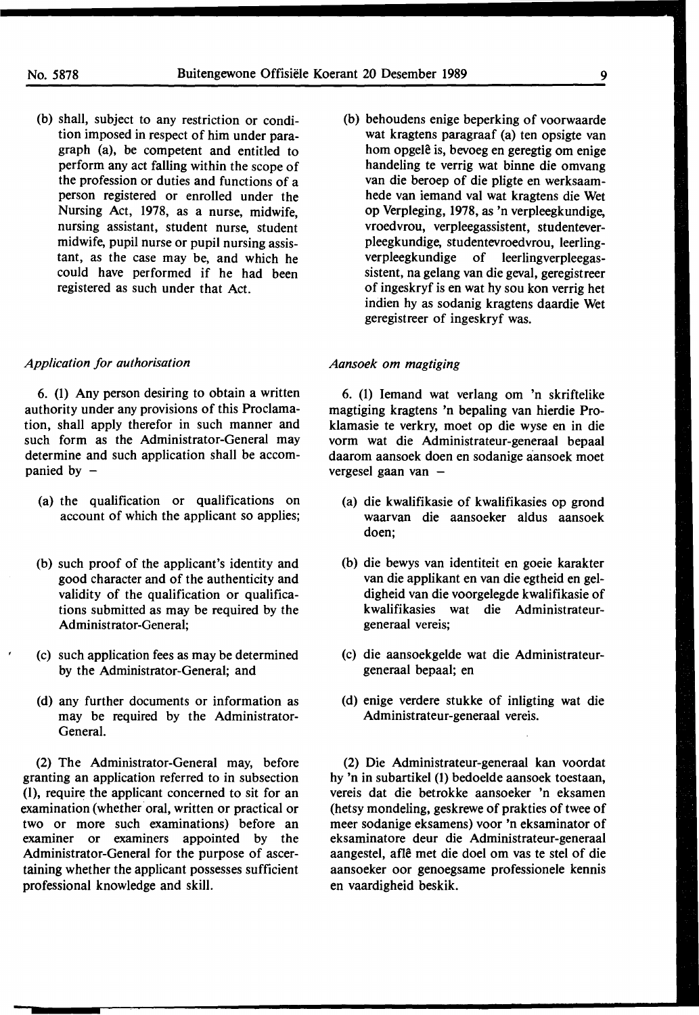(b) shall, subject to any restriction or condition imposed in respect of him under paragraph (a), be competent and entitled to perform any act falling within the scope of the profession or duties and functions of a person registered or enrolled under the Nursing Act, 1978, as a nurse, midwife, nursing assistant, student nurse, student midwife, pupil nurse or pupil nursing assistant, as the case may be, and which he could have performed if he had been registered as such under that Act.

#### *Application for authorisation*

6. (1) Any person desiring to obtain a written authority under any provisions of this Proclamation, shall apply therefor in such manner and such form as the Administrator-General may determine and such application shall be accompanied by  $-$ 

- (a) the qualification or qualifications on account of which the applicant so applies;
- (b) such proof of the applicant's identity and good character and of the authenticity and validity of the qualification or qualifications submitted as may be required by the Administrator-General;
- (c) such application fees as may be determined by the Administrator-General; and
- (d) any further documents or information as may be required by the Administrator-General.

(2) The Administrator-General may, before granting an application referred to in subsection (I), require the applicant concerned to sit for an examination (whether oral, written or practical or two or more such examinations) before an examiner or examiners appointed by the Administrator-General for the purpose of ascertaining whether the applicant possesses sufficient professional knowledge and skill.

(b) behoudens enige beperking of voorwaarde wat kragtens paragraaf (a) ten opsigte van hom opgelê is, bevoeg en geregtig om enige handeling te verrig wat binne die omvang van die beroep of die pligte en werksaamhede van iemand val wat kragtens die Wet op Verpleging, 1978, as 'n verpleegkundige, vroedvrou, verpleegassistent, studenteverpleegkundige, studentevroedvrou, leerlingverpleegkundige of leerlingverpleegassistent, na gelang van die geval, geregistreer of ingeskryf is en wat hy sou kon verrig bet indien hy as sodanig kragtens daardie Wet geregistreer of ingeskryf was.

#### *Aansoek om magtiging*

6. (1) lemand wat verlang om 'n skriftelike magtiging kragtens 'n bepaling van hierdie Proklamasie te verkry, moet op die wyse en in die vorm wat die Administrateur-generaal bepaal daarom aansoek doen en sodanige aansoek moet vergesel gaan van  $-$ 

- (a) die kwalifikasie of kwalifikasies op grond waarvan die aansoeker aldus aansoek doen;
- (b) die bewys van identiteit en goeie karakter van die applikant en van die egtheid en geldigheid van die voorgelegde kwalifikasie of kwalifikasies wat die Administrateurgeneraal vereis;
- (c) die aansoekgelde wat die Administrateurgeneraal bepaal; en
- (d) enige verdere stukke of inligting wat die Administrateur-generaal vereis.

(2) Die Administrateur-generaal kan voordat hy 'n in subartikel (1) bedoelde aansoek toestaan, vereis dat die betrokke aansoeker 'n eksamen (hetsy mondeling, geskrewe of prakties of twee of meer sodanige eksamens) voor 'n eksaminator of eksaminatore deur die Administrateur-generaal aangestel, afle met die doel om vas te stel of die aansoeker oor genoegsame professionele kennis en vaardigheid beskik.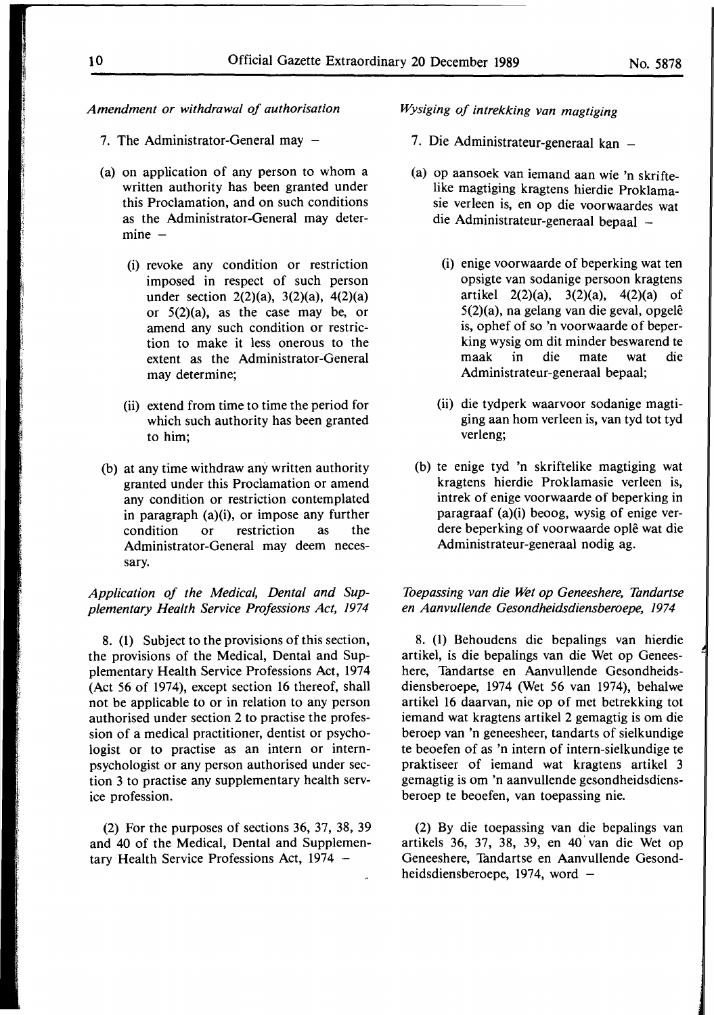#### *Amendment or withdrawal of authorisation*

- 7. The Administrator-General may  $-$
- (a) on application of any person to whom a written authority has been granted under this Proclamation, and on such conditions as the Administrator-General may deter $mine -$ 
	- (i) revoke any condition or restriction imposed in respect of such person under section 2(2)(a), 3(2)(a), 4(2)(a) or 5(2)(a), as the case may be, or amend any such condition or restriction to make it less onerous to the extent as the Administrator-General may determine;
	- (ii) extend from time to time the period for which such authority has been granted to him;
- (b) at any time withdraw any written authority granted under this Proclamation or amend any condition or restriction contemplated in paragraph (a)(i), or impose any further condition or restriction as the Administrator-General may deem necessary.

# *Application of the Medical, Dental and Supplementary Health Service Professions Act, 1974*

8. (1) Subject to the provisions of this section, the provisions of the Medical, Dental and Supplementary Health Service Professions Act, 1974 (Act 56 of 1974), except section 16 thereof, shall not be applicable to or in relation to any person authorised under section 2 to practise the profession of a medical practitioner, dentist or psychologist or to practise as an intern or internpsychologist or any person authorised under section 3 to practise any supplementary health service profession.

(2) For the purposes of sections 36, 37, 38, 39 and 40 of the Medical, Dental and Supplementary Health Service Professions Act,  $1974 -$ 

*Wysiging of intrekking van magtiging* 

- 7. Die Administrateur-generaal kan
- (a) op aansoek van iemand aan wie 'n skriftelike magtiging kragtens hierdie Proklamasie ver leen is, en op die voorwaardes wat die Administrateur-generaal bepaal -
	- (i) enige voorwaarde of beperking wat ten opsigte van sodanige persoon kragtens artikel  $2(2)(a)$ ,  $3(2)(a)$ ,  $4(2)(a)$  of 5(2)(a), na gelang van die geval, opgele is, ophef of so 'n voorwaarde of beperking wysig om dit minder beswarend te maak in die mate wat die Administrateur-generaal bepaal;
	- (ii) die tydperk waarvoor sodanige magtiging aan horn verleen is, van tyd tot tyd verleng;
- (b) te enige tyd 'n skriftelike magtiging wat kragtens hierdie Proklamasie verleen is, intrek of enige voorwaarde of beperking in paragraaf (a)(i) beoog, wysig of enige verdere beperking of voorwaarde ople wat die Administrateur-generaal nodig ag.

## *Toepassing van die Wet op Geneeshere, Tandartse en Aanvullende Gesondheidsdiensberoepe, 1974*

8. (1) Behoudens die bepalings van hierdie artikel, is die bepalings van die Wet op Geneeshere, Tandartse en Aanvullende Gesondheidsdiensberoepe, 1974 (Wet 56 van 1974), behalwe artikel 16 daarvan, nie op of met betrekking tot iemand wat kragtens artikel 2 gemagtig is om die beroep van 'n geneesheer, tandarts of sielkundige te beoefen of as 'n intern of intern-sielkundige te praktiseer of iemand wat kragtens artikel 3 gemagtig is om 'n aanvullende gesondheidsdiensberoep te beoefen, van toepassing nie.

(2) By die toepassing van die bepalings van artikels 36, 37, 38, 39, en 40 van die Wet op Geneeshere, Tandartse en Aanvullende Gesondheidsdiensberoepe, 1974, word  $-$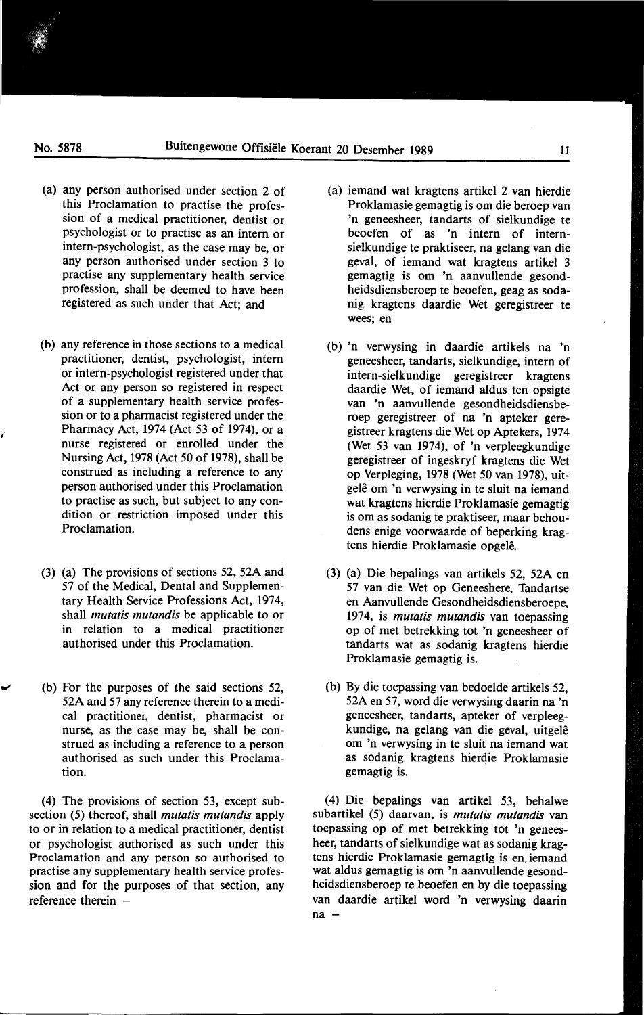$\overline{\phantom{0}}$ 

- (a) any person authorised under section 2 of this Proclamation to practise the profession of a medical practitioner, dentist or psychologist or to practise as an intern or intern-psychologist, as the case may be, or any person authorised under section 3 to practise any supplementary health service profession, shall be deemed to have been registered as such under that Act; and
- (b) any reference in those sections to a medical practitioner, dentist, psychologist, intern or intern-psychologist registered under that Act or any person so registered in respect of a supplementary health service profession or to a pharmacist registered under the Pharmacy Act, 1974 (Act 53 of 1974), or a nurse registered or enrolled under the Nursing Act, 1978 (Act 50 of 1978), shall be construed as including a reference to any person authorised under this Proclamation to practise as such, but subject to any condition or restriction imposed under this Proclamation.
- (3) (a) The provisions of sections 52, 52A and 57 of the Medical, Dental and Supplementary Health Service Professions Act, 1974, shall *mutatis mutandis* be applicable to or in relation to a medical practitioner authorised under this Proclamation.
- (b) For the purposes of the said sections 52, 52A and 57 any reference therein to a medical practitioner, dentist, pharmacist or nurse, as the case may be, shall be construed as including a reference to a person authorised as such under this Proclamation.

(4) The provisions of section 53, except subsection (5) thereof, shall *mutatis mutandis* apply to or in relation to a medical practitioner, dentist or psychologist authorised as such under this Proclamation and any person so authorised to practise any supplementary health service profession and for the purposes of that section, any reference therein  $-$ 

- (a) iemand wat kragtens artikel 2 van hierdie Proklamasie gemagtig is om die beroep van 'n geneesheer, tandarts of sielkundige te beoefen of as 'n intern of internsielkundige te praktiseer, na gelang van die geval, of iemand wat kragtens artikel 3 gemagtig is om 'n aanvullende gesondheidsdiensberoep te beoefen, geag as sodanig kragtens daardie Wet geregistreer te wees; en
- (b) 'n verwysing in daardie artikels na 'n geneesheer, tandarts, sielkundige, intern of intern-sielkundige geregistreer kragtens daardie Wet, of iemand aldus ten opsigte van 'n aanvullende gesondheidsdiensberoep geregistreer of na 'n apteker geregistreer kragtens die Wet op Aptekers, 1974 (Wet 53 van 1974), of 'n verpleegkundige geregistreer of ingeskryf kragtens die Wet op Verpleging, 1978 (Wet 50 van 1978), uitgelê om 'n verwysing in te sluit na iemand wat kragtens hierdie Proklamasie gemagtig is om as sodanig te praktiseer, maar behoudens enige voorwaarde of beperking kragtens hierdie Proklamasie opgele.
- (3) (a) Die bepalings van artikels 52, 52A en 57 van die Wet op Geneeshere, Tandartse en Aanvullende Gesondheidsdiensberoepe, 1974, is *mutatis mutandis* van toepassing op of met betrekking tot 'n geneesheer of tandarts wat as sodanig kragtens hierdie Proklamasie gemagtig is.
- (b) By die toepassing van bedoelde artikels 52, 52A en 57, word die verwysing daarin na 'n geneesheer, tandarts, apteker of verpleegkundige, na gelang van die geval, uitgele om 'n verwysing in te sluit na iemand wat as sodanig kragtens hierdie Proklamasie gemagtig is.

(4) Die bepalings van artikel 53, behalwe subartikel (5) daarvan, is *mutatis mutandis* van toepassing op of met betrekking tot 'n geneesheer, tandarts of sielkundige wat as sodanig kragtens hierdie Proklamasie gemagtig is en. iemand wat aldus gemagtig is om 'n aanvullende gesondheidsdiensberoep te beoefen en by die toepassing van daardie artikel word 'n verwysing daarin  $na -$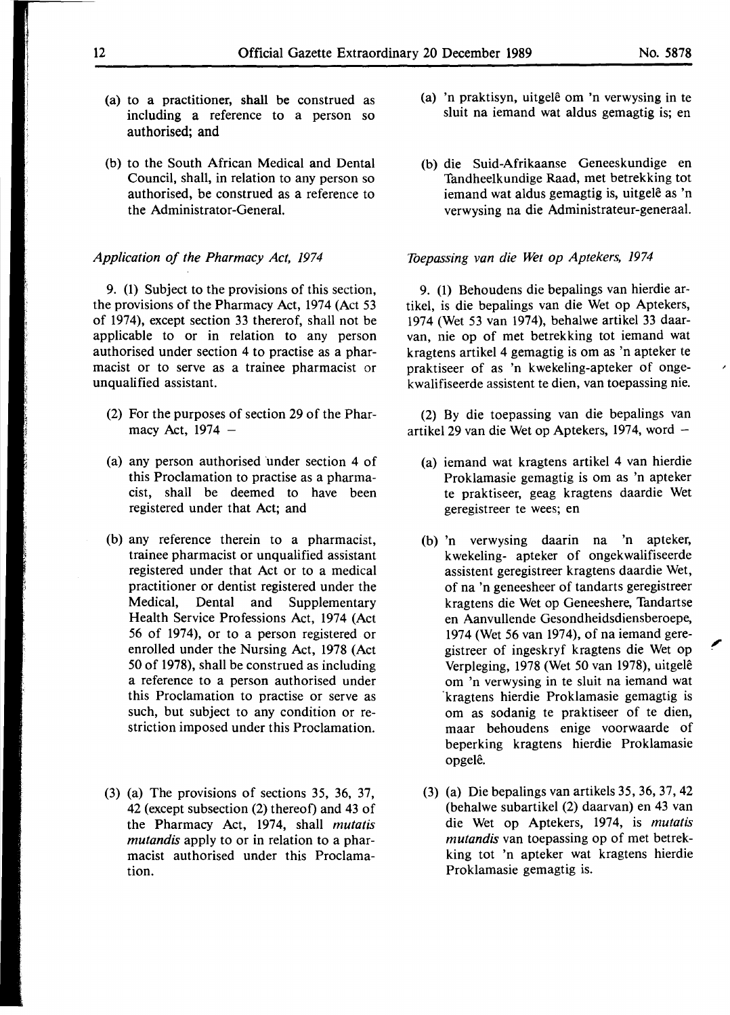- (a) to a practitioner, shall be construed as including a reference to a person so authorised; and
- (b) to the South African Medical and Dental Council, shall, in relation to any person so authorised, be construed as a reference to the Administrator-General.

### *Application of the Pharmacy Act, 1974*

9. (1) Subject to the provisions of this section, the provisions of the Pharmacy Act, 1974 (Act 53 of 1974), except section 33 thererof, shall not be applicable to or in relation to any person authorised under section 4 to practise as a pharmacist or to serve as a trainee pharmacist or unqualified assistant.

- (2) For the purposes of section 29 of the Pharmacy Act,  $1974 -$
- (a) any person authorised under section 4 of this Proclamation to practise as a pharmacist, shall be deemed to have been registered under that Act; and
- (b) any reference therein to a pharmacist, trainee pharmacist or unqualified assistant registered under that Act or to a medical practitioner or dentist registered under the Medical, Dental and Supplementary Health Service Professions Act, 1974 (Act 56 of 1974), or to a person registered or enrolled under the Nursing Act, 1978 (Act 50 of 1978), shall be construed as including a reference to a person authorised under this Proclamation to practise or serve as such, but subject to any condition or restriction imposed under this Proclamation.
- (3) (a) The provisions of sections 35, 36, 37, 42 (except subsection (2) thereof) and 43 of the Pharmacy Act, 1974, shall *mutatis mutandis* apply to or in relation to a pharmacist authorised under this Proclamation.
- (a) 'n praktisyn, uitgele om 'n verwysing in te sluit na iemand wat aldus gemagtig is; en
- (b) die Suid-Afrikaanse Geneeskundige en Tandheelkundige Raad, met betrekking tot iemand wat aldus gemagtig is, uitgelê as 'n verwysing na die Administrateur-generaal.

# *Toepassing van die Wet op Aptekers, 1974*

9. (1) Behoudens die bepalings van hierdie artikel, is die bepalings van die Wet op Aptekers, 1974 (Wet 53 van 1974), behalwe artikel 33 daarvan, nie op of met betrekking tot iemand wat kragtens artikel 4 gemagtig is om as 'n apteker te praktiseer of as 'n kwekeling-apteker of ongekwalifiseerde assistent te dien, van toepassing nie.

(2) By die toepassing van die bepalings van artikel 29 van die Wet op Aptekers, 1974, word -

- (a) iemand wat kragtens artikel 4 van hierdie Proklamasie gemagtig is om as 'n apteker te praktiseer, geag kragtens daardie Wet geregistreer te wees; en
- (b) 'n verwysing daarin na 'n apteker, kwekeling- apteker of ongekwalifiseerde assistent geregistreer kragtens daardie Wet, of na 'n geneesheer of tandarts geregistreer kragtens die Wet op Geneeshere, Tandartse en Aanvullende Gesondheidsdiensberoepe, 1974 (Wet 56 van 1974), of na iemand geregistreer of ingeskryf kragtens die Wet op Verpleging, 1978 (Wet 50 van 1978), uitgele om 'n verwysing in te sluit na iemand wat ·kragtens hierdie Proklamasie gemagtig is om as sodanig te praktiseer of te dien, maar behoudens enige voorwaarde of beperking kragtens hierdie Proklamasie opgele.

"

(3) (a) Die bepalings van artikels 35, 36, 37, 42 (behalwe subartikel (2) daarvan) en 43 van die Wet op Aptekers, 1974, is *mutatis mutandis* van toepassing op of met betrekking tot 'n apteker wat kragtens hierdie Proklamasie gemagtig is.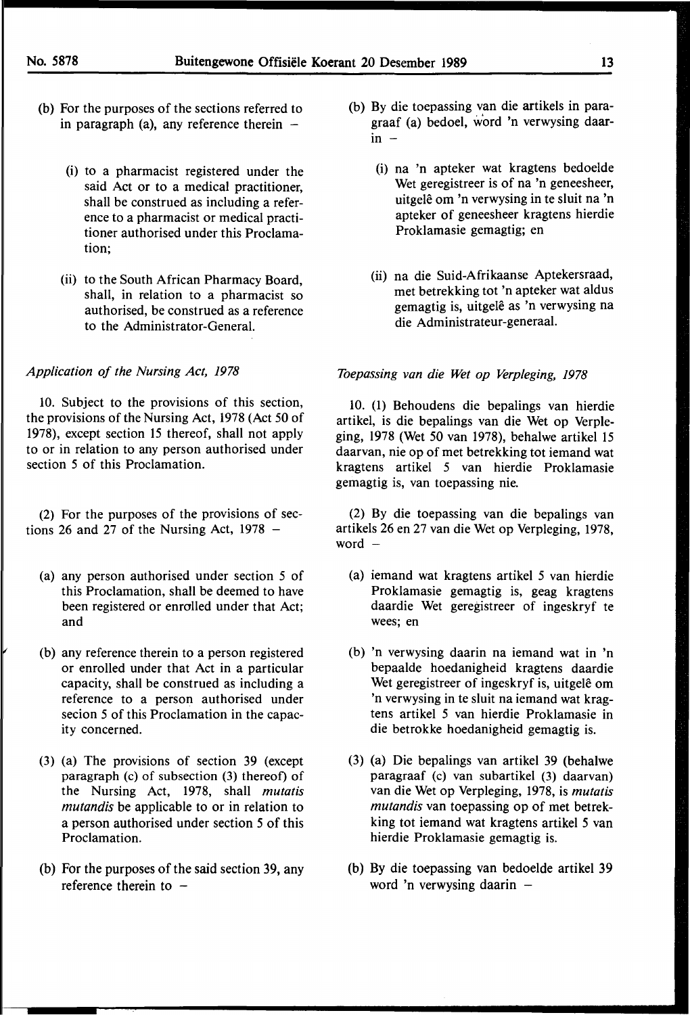- (b) For the purposes of the sections referred to in paragraph (a), any reference therein  $-$ 
	- (i) to a pharmacist registered under the said Act or to a medical practitioner, shall be construed as including a reference to a pharmacist or medical practitioner authorised under this Proclamation;
	- (ii) to the South African Pharmacy Board, shall, in relation to a pharmacist so authorised, be construed as a reference to the Administrator-General.

### *Application of the Nursing Act, 1978*

10. Subject to the provisions of this section, the provisions of the Nursing Act, 1978 (Act 50 of 1978), except section 15 thereof, shall not apply to or in relation to any person authorised under section 5 of this Proclamation.

(2) For the purposes of the provisions of sections 26 and 27 of the Nursing Act,  $1978 -$ 

- (a) any person authorised under section 5 of this Proclamation, shall be deemed to have been registered or enrolled under that Act; and
- (b) any reference therein to a person registered or enrolled under that Act in a particular capacity, shall be construed as including a reference to a person authorised under secion 5 of this Proclamation in the capacity concerned.
- (3) (a) The provisions of section 39 (except paragraph (c) of subsection (3) thereof) of the Nursing Act, 1978, shall *mutatis mutandis* be applicable to or in relation to a person authorised under section 5 of this Proclamation.
- (b) For the purposes of the said section 39, any reference therein to  $-$
- (b) By die toepassing van die artikels in paragraaf (a) bedoel, word 'n verwysing daar $in -$ 
	- (i) na 'n apteker wat kragtens bedoelde Wet geregistreer is of na 'n geneesheer, uitgelê om 'n verwysing in te sluit na 'n apteker of geneesheer kragtens hierdie Proklamasie gemagtig; en
	- (ii) na die Suid-Afrikaanse Aptekersraad, met betrekking tot 'n apteker wat aldus gemagtig is, uitgelê as 'n verwysing na die Administrateur-generaal.

#### *Toepassing van die Wet op Verpleging, 1978*

10. (1) Behoudens die bepalings van hierdie artikel, is die bepalings van die Wet op Verpleging, 1978 (Wet 50 van 1978), behalwe artikel 15 daarvan, nie op of met betrekking tot iemand wat kragtens artikel 5 van hierdie Proklamasie gemagtig is, van toepassing nie.

(2) By die toepassing van die bepalings van artikels 26 en 27 van die Wet op Verpleging, 1978, word -

- (a) iemand wat kragtens artikel 5 van hierdie Proklamasie gemagtig is, geag kragtens daardie Wet geregistreer of ingeskryf te wees; en
- (b) 'n verwysing daarin na iemand wat in 'n bepaalde hoedanigheid kragtens daardie Wet geregistreer of ingeskryf is, uitgelê om 'n verwysing in te sluit na iemand wat kragtens artikel 5 van hierdie Proklamasie in die betrokke hoedanigheid gemagtig is.
- (3) (a) Die bepalings van artikel 39 (behalwe paragraaf (c) van subartikel (3) daarvan) van die Wet op Verpleging, 1978, is *mutatis mutandis* van toepassing op of met betrekking tot iemand wat kragtens artikel 5 van hierdie Proklamasie gemagtig is.
- (b) By die toepassing van bedoelde artikel 39 word 'n verwysing daarin  $-$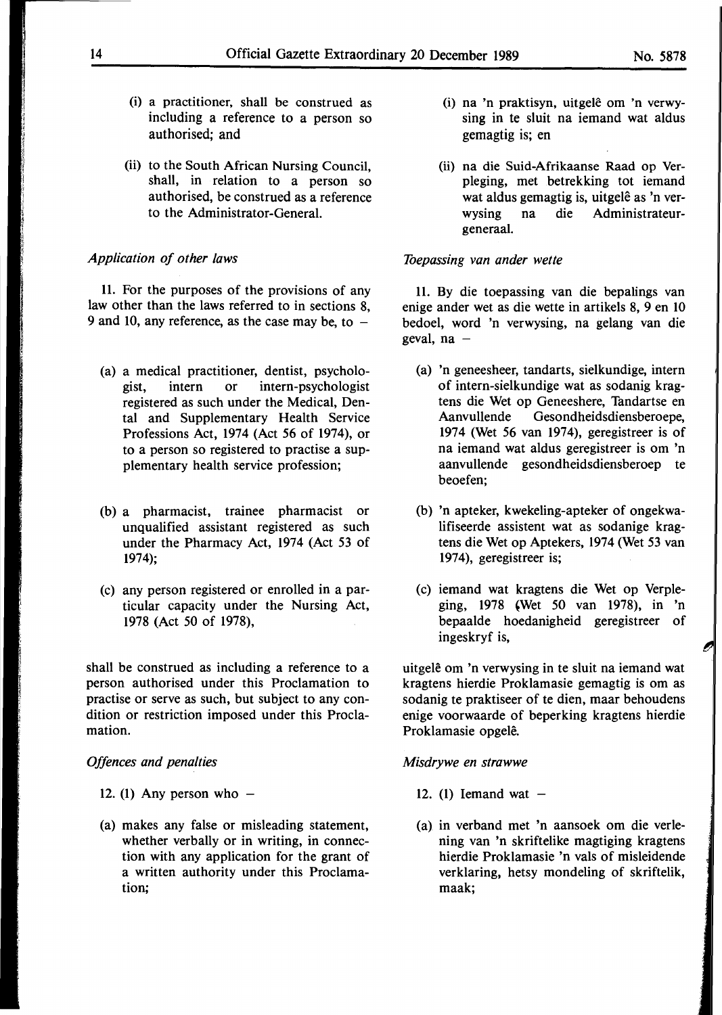- (i) a practitioner, shall be construed as including a reference to a person so authorised; and
- (ii) to the South African Nursing Council, shall, in relation to a person so authorised, be construed as a reference to the Administrator-General.

### *Application of other laws*

**11.** For the purposes of the provisions of any law other than the laws referred to in sections 8. 9 and 10, any reference, as the case may be, to  $-$ 

- (a) a medical practitioner, dentist, psychologist, intern or intern-psychologist registered as such under the Medical, Dental and Supplementary Health Service Professions Act, 1974 (Act *56* of 1974), or to a person so registered to practise a supplementary health service profession;
- (b) a pharmacist, trainee pharmacist or unqualified assistant registered as such under the Pharmacy Act, 1974 (Act 53 of **1974);**
- (c) any person registered or enrolled in a particular capacity under the Nursing Act, 1978 (Act 50 of 1978),

shall be construed as including a reference to a person authorised under this Proclamation to practise or serve as such, but subject to any condition or restriction imposed under this Proclamation.

## *Offences and penalties*

- 12. (1) Any person who  $-$
- (a) makes any false or misleading statement, whether verbally or in writing, in connection with any application for the grant of a written authority under this Proclamation;
- (i) na 'n praktisyn, uitgele om 'n verwysing in te sluit na iemand wat aldus gemagtig is; en
- (ii) na die Suid-Afrikaanse Raad op Verpleging, met betrekking tot iemand wat aldus gemagtig is, uitgelê as 'n verwysing na die Administrateurgeneraal.

### *Toepassing van ander wette*

**11.** By die toepassing van die bepalings van enige ander wet as die wette in artikels 8, 9 en 10 bedoel, word 'n verwysing, na gelang van die geval,  $na -$ 

- (a) 'n geneesheer, tandarts, sielkundige, intern of intern-sielkundige wat as sodanig kragtens die Wet op Geneeshere, Tandartse en Aanvullende Gesondheidsdiensberoepe, 1974 (Wet 56 van 1974), geregistreer is of na iemand wat aldus geregistreer is om 'n aanvullende gesondheidsdiensberoep te beoefen;
- (b) 'n apteker, kwekeling-apteker of ongekwalifiseerde assistent wat as sodanige kragtens die Wet op Aptekers, 1974 (Wet 53 van 1974), geregistreer is;
- (c) iemand wat kragtens die Wet op Verpleging, 1978 (Wet 50 van 1978), in 'n bepaalde hoedanigheid geregistreer of ingeskryf is,

uitgele om 'n verwysing in te sluit na iemand wat kragtens hierdie Proklamasie gemagtig is om as sodanig te praktiseer of te dien, maar behoudens enige voorwaarde of beperking kragtens hierdie Proklamasie opgele.

#### *Misdrywe en strawwe*

- 12. (1) Iemand wat  $-$
- (a) in verband met 'n aansoek om die verlening van 'n skriftelike magtiging kragtens hierdie Proklamasie 'n vals of misleidende verklaring, hetsy mondeling of skriftelik, maak;